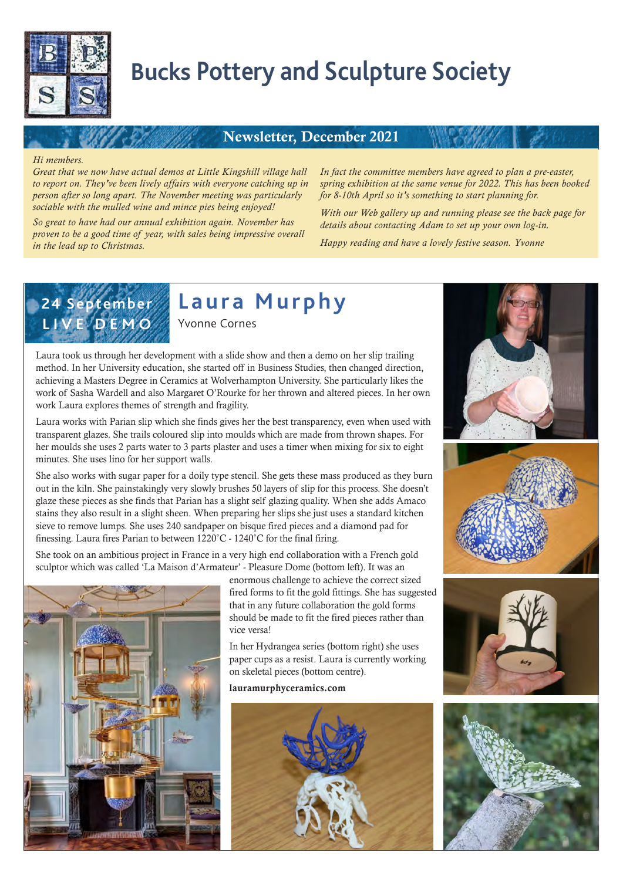

# **Bucks Pottery and Sculpture Society**

#### Newsletter, December 2021

#### *Hi members.*

*Great that we now have actual demos at Little Kingshill village hall to report on. They've been lively affairs with everyone catching up in person after so long apart. The November meeting was particularly sociable with the mulled wine and mince pies being enjoyed!* 

*So great to have had our annual exhibition again. November has proven to be a good time of year, with sales being impressive overall in the lead up to Christmas.* 

*In fact the committee members have agreed to plan a pre-easter, spring exhibition at the same venue for 2022. This has been booked for 8-10th April so it's something to start planning for.* 

*With our Web gallery up and running please see the back page for details about contacting Adam to set up your own log-in.* 

*Happy reading and have a lovely festive season. Yvonne*



**Laura Murphy** 

Yvonne Cornes

Laura took us through her development with a slide show and then a demo on her slip trailing method. In her University education, she started off in Business Studies, then changed direction, achieving a Masters Degree in Ceramics at Wolverhampton University. She particularly likes the work of Sasha Wardell and also Margaret O'Rourke for her thrown and altered pieces. In her own work Laura explores themes of strength and fragility.

Laura works with Parian slip which she finds gives her the best transparency, even when used with transparent glazes. She trails coloured slip into moulds which are made from thrown shapes. For her moulds she uses 2 parts water to 3 parts plaster and uses a timer when mixing for six to eight minutes. She uses lino for her support walls.

She also works with sugar paper for a doily type stencil. She gets these mass produced as they burn out in the kiln. She painstakingly very slowly brushes 50 layers of slip for this process. She doesn't glaze these pieces as she finds that Parian has a slight self glazing quality. When she adds Amaco stains they also result in a slight sheen. When preparing her slips she just uses a standard kitchen sieve to remove lumps. She uses 240 sandpaper on bisque fired pieces and a diamond pad for finessing. Laura fires Parian to between 1220°C - 1240°C for the final firing.

She took on an ambitious project in France in a very high end collaboration with a French gold sculptor which was called 'La Maison d'Armateur' - Pleasure Dome (bottom left). It was an



enormous challenge to achieve the correct sized fired forms to fit the gold fittings. She has suggested that in any future collaboration the gold forms should be made to fit the fired pieces rather than vice versa!

In her Hydrangea series (bottom right) she uses paper cups as a resist. Laura is currently working on skeletal pieces (bottom centre).

lauramurphyceramics.com









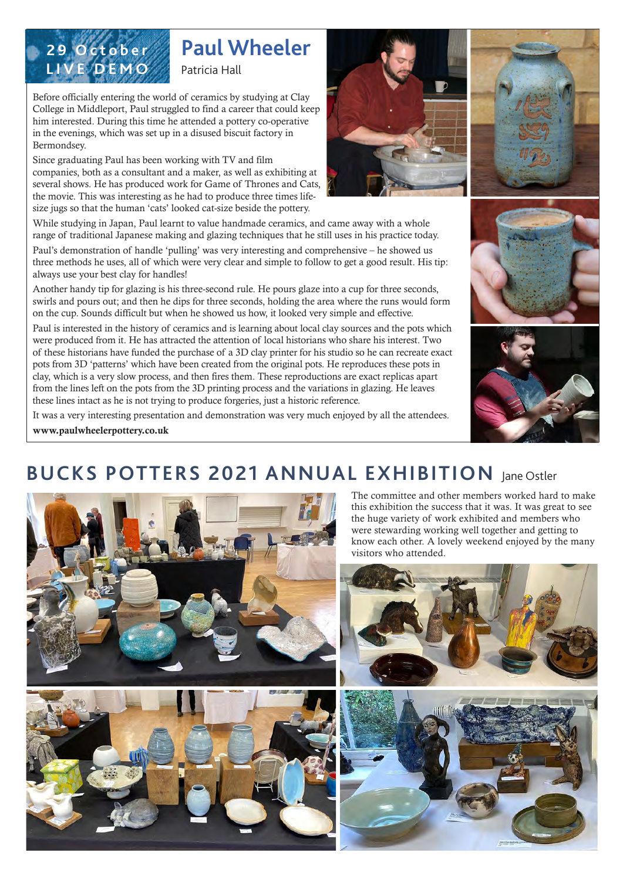

# **Paul Wheeler**

Patricia Hall

Before officially entering the world of ceramics by studying at Clay College in Middleport, Paul struggled to find a career that could keep him interested. During this time he attended a pottery co-operative in the evenings, which was set up in a disused biscuit factory in Bermondsey.

Since graduating Paul has been working with TV and film companies, both as a consultant and a maker, as well as exhibiting at several shows. He has produced work for Game of Thrones and Cats, the movie. This was interesting as he had to produce three times lifesize jugs so that the human 'cats' looked cat-size beside the pottery.

While studying in Japan, Paul learnt to value handmade ceramics, and came away with a whole range of traditional Japanese making and glazing techniques that he still uses in his practice today.

Paul's demonstration of handle 'pulling' was very interesting and comprehensive – he showed us three methods he uses, all of which were very clear and simple to follow to get a good result. His tip: always use your best clay for handles!

Another handy tip for glazing is his three-second rule. He pours glaze into a cup for three seconds, swirls and pours out; and then he dips for three seconds, holding the area where the runs would form on the cup. Sounds difficult but when he showed us how, it looked very simple and effective.

Paul is interested in the history of ceramics and is learning about local clay sources and the pots which were produced from it. He has attracted the attention of local historians who share his interest. Two of these historians have funded the purchase of a 3D clay printer for his studio so he can recreate exact pots from 3D 'patterns' which have been created from the original pots. He reproduces these pots in clay, which is a very slow process, and then fires them. These reproductions are exact replicas apart from the lines left on the pots from the 3D printing process and the variations in glazing. He leaves these lines intact as he is not trying to produce forgeries, just a historic reference.

It was a very interesting presentation and demonstration was very much enjoyed by all the attendees.

www.paulwheelerpottery.co.uk

## **BUCKS POTTERS 2021 ANNUAL EXHIBITION** Jane Ostler















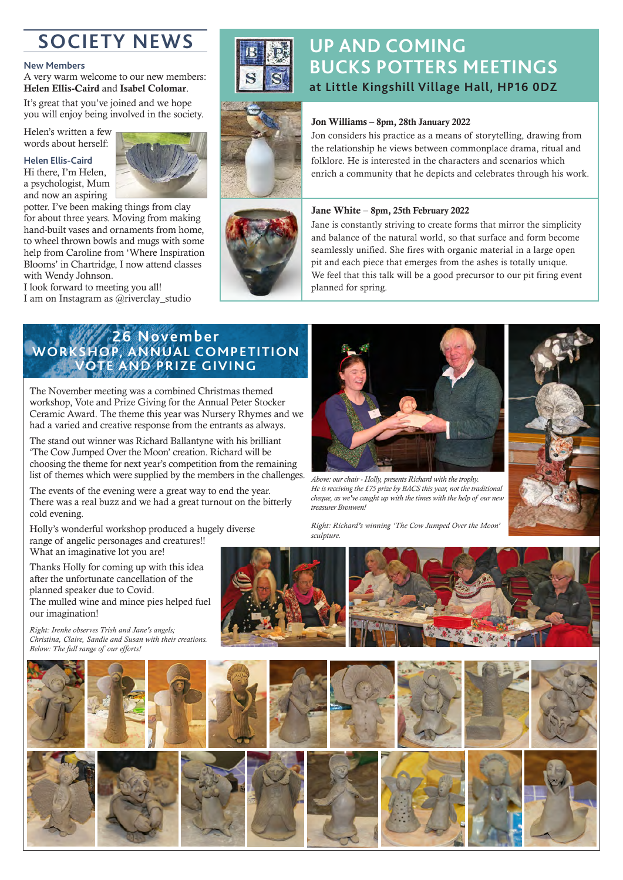# **SOCIETY NEWS**

#### **New Members**

A very warm welcome to our new members: Helen Ellis-Caird and Isabel Colomar.

It's great that you've joined and we hope you will enjoy being involved in the society.

Helen's written a few words about herself:

#### **Helen Ellis-Caird**

Hi there, I'm Helen, a psychologist, Mum and now an aspiring



potter. I've been making things from clay for about three years. Moving from making hand-built vases and ornaments from home, to wheel thrown bowls and mugs with some help from Caroline from 'Where Inspiration Blooms' in Chartridge, I now attend classes with Wendy Johnson.

I look forward to meeting you all! I am on Instagram as @riverclay\_studio

### **UP AND COMING BUCKS POTTERS MEETINGS at Little Kingshill Village Hall, HP16 0DZ**



#### Jon Williams – 8pm, 28th January 2022

Jon considers his practice as a means of storytelling, drawing from the relationship he views between commonplace drama, ritual and folklore. He is interested in the characters and scenarios which enrich a community that he depicts and celebrates through his work.



#### Jane White – 8pm, 25th February 2022

Jane is constantly striving to create forms that mirror the simplicity and balance of the natural world, so that surface and form become seamlessly unified. She fires with organic material in a large open pit and each piece that emerges from the ashes is totally unique. We feel that this talk will be a good precursor to our pit firing event planned for spring.

#### **26 November WORKSHOP, ANNUAL COMPETITION VOTE AND PRIZE GIVING**

The November meeting was a combined Christmas themed workshop, Vote and Prize Giving for the Annual Peter Stocker Ceramic Award. The theme this year was Nursery Rhymes and we had a varied and creative response from the entrants as always.

The stand out winner was Richard Ballantyne with his brilliant 'The Cow Jumped Over the Moon' creation. Richard will be choosing the theme for next year's competition from the remaining list of themes which were supplied by the members in the challenges.

The events of the evening were a great way to end the year. There was a real buzz and we had a great turnout on the bitterly cold evening.

Holly's wonderful workshop produced a hugely diverse range of angelic personages and creatures!!

What an imaginative lot you are!

Thanks Holly for coming up with this idea after the unfortunate cancellation of the planned speaker due to Covid. The mulled wine and mince pies helped fuel our imagination!

*Right: Irenke observes Trish and Jane's angels; Christina, Claire, Sandie and Susan with their creations. Below: The full range of our efforts!*





*Above: our chair - Holly, presents Richard with the trophy. He is receiving the £75 prize by BACS this year, not the traditional cheque, as we've caught up with the times with the help of our new treasurer Bronwen!* 

*Right: Richard's winning 'The Cow Jumped Over the Moon' sculpture.*